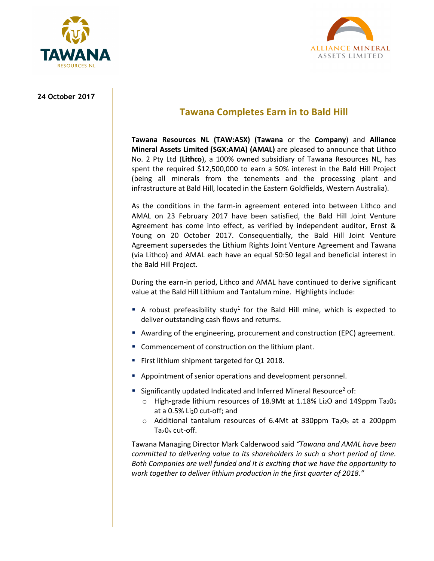



## **24 October 2017**

# **Tawana Completes Earn in to Bald Hill**

**Tawana Resources NL (TAW:ASX) (Tawana** or the **Company**) and **Alliance Mineral Assets Limited (SGX:AMA) (AMAL)** are pleased to announce that Lithco No. 2 Pty Ltd (**Lithco**), a 100% owned subsidiary of Tawana Resources NL, has spent the required \$12,500,000 to earn a 50% interest in the Bald Hill Project (being all minerals from the tenements and the processing plant and infrastructure at Bald Hill, located in the Eastern Goldfields, Western Australia).

As the conditions in the farm-in agreement entered into between Lithco and AMAL on 23 February 2017 have been satisfied, the Bald Hill Joint Venture Agreement has come into effect, as verified by independent auditor, Ernst & Young on 20 October 2017. Consequentially, the Bald Hill Joint Venture Agreement supersedes the Lithium Rights Joint Venture Agreement and Tawana (via Lithco) and AMAL each have an equal 50:50 legal and beneficial interest in the Bald Hill Project.

During the earn-in period, Lithco and AMAL have continued to derive significant value at the Bald Hill Lithium and Tantalum mine. Highlights include:

- A robust prefeasibility study<sup>1</sup> for the Bald Hill mine, which is expected to deliver outstanding cash flows and returns.
- Awarding of the engineering, procurement and construction (EPC) agreement.
- **Commencement of construction on the lithium plant.**
- **First lithium shipment targeted for Q1 2018.**
- Appointment of senior operations and development personnel.
- **Significantly updated Indicated and Inferred Mineral Resource<sup>2</sup> of:** 
	- $\circ$  High-grade lithium resources of 18.9Mt at 1.18% Li<sub>2</sub>O and 149ppm Ta<sub>2</sub>O<sub>5</sub> at a 0.5% Li20 cut-off; and
	- $\circ$  Additional tantalum resources of 6.4Mt at 330ppm Ta<sub>2</sub>0<sub>5</sub> at a 200ppm  $Ta<sub>2</sub>O<sub>5</sub>$  cut-off.

Tawana Managing Director Mark Calderwood said *"Tawana and AMAL have been committed to delivering value to its shareholders in such a short period of time. Both Companies are well funded and it is exciting that we have the opportunity to work together to deliver lithium production in the first quarter of 2018."*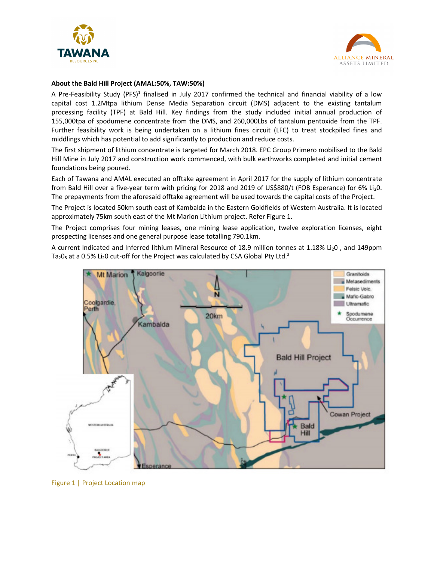



## **About the Bald Hill Project (AMAL:50%, TAW:50%)**

A Pre-Feasibility Study (PFS)<sup>1</sup> finalised in July 2017 confirmed the technical and financial viability of a low capital cost 1.2Mtpa lithium Dense Media Separation circuit (DMS) adjacent to the existing tantalum processing facility (TPF) at Bald Hill. Key findings from the study included initial annual production of 155,000tpa of spodumene concentrate from the DMS, and 260,000Lbs of tantalum pentoxide from the TPF. Further feasibility work is being undertaken on a lithium fines circuit (LFC) to treat stockpiled fines and middlings which has potential to add significantly to production and reduce costs.

The first shipment of lithium concentrate is targeted for March 2018. EPC Group Primero mobilised to the Bald Hill Mine in July 2017 and construction work commenced, with bulk earthworks completed and initial cement foundations being poured.

Each of Tawana and AMAL executed an offtake agreement in April 2017 for the supply of lithium concentrate from Bald Hill over a five-year term with pricing for 2018 and 2019 of US\$880/t (FOB Esperance) for 6% Li20. The prepayments from the aforesaid offtake agreement will be used towards the capital costs of the Project.

The Project is located 50km south east of Kambalda in the Eastern Goldfields of Western Australia. It is located approximately 75km south east of the Mt Marion Lithium project. Refer Figure 1.

The Project comprises four mining leases, one mining lease application, twelve exploration licenses, eight prospecting licenses and one general purpose lease totalling 790.1km.

A current Indicated and Inferred lithium Mineral Resource of 18.9 million tonnes at 1.18% Li<sub>2</sub>0, and 149ppm Ta<sub>2</sub>0<sub>5</sub> at a 0.5% Li<sub>2</sub>0 cut-off for the Project was calculated by CSA Global Pty Ltd.<sup>2</sup>



Figure 1 | Project Location map